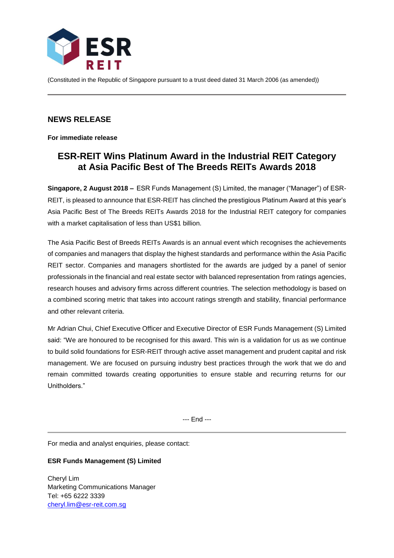

(Constituted in the Republic of Singapore pursuant to a trust deed dated 31 March 2006 (as amended))

## **NEWS RELEASE**

**For immediate release**

# **ESR-REIT Wins Platinum Award in the Industrial REIT Category at Asia Pacific Best of The Breeds REITs Awards 2018**

**Singapore, 2 August 2018 –** ESR Funds Management (S) Limited, the manager ("Manager") of ESR-REIT, is pleased to announce that ESR-REIT has clinched the prestigious Platinum Award at this year's Asia Pacific Best of The Breeds REITs Awards 2018 for the Industrial REIT category for companies with a market capitalisation of less than US\$1 billion.

The Asia Pacific Best of Breeds REITs Awards is an annual event which recognises the achievements of companies and managers that display the highest standards and performance within the Asia Pacific REIT sector. Companies and managers shortlisted for the awards are judged by a panel of senior professionals in the financial and real estate sector with balanced representation from ratings agencies, research houses and advisory firms across different countries. The selection methodology is based on a combined scoring metric that takes into account ratings strength and stability, financial performance and other relevant criteria.

Mr Adrian Chui, Chief Executive Officer and Executive Director of ESR Funds Management (S) Limited said: "We are honoured to be recognised for this award. This win is a validation for us as we continue to build solid foundations for ESR-REIT through active asset management and prudent capital and risk management. We are focused on pursuing industry best practices through the work that we do and remain committed towards creating opportunities to ensure stable and recurring returns for our Unitholders."

--- End ---

For media and analyst enquiries, please contact:

### **ESR Funds Management (S) Limited**

Cheryl Lim Marketing Communications Manager Tel: +65 6222 3339 [cheryl.lim@esr-reit.com.sg](mailto:cheryl.lim@esr-reit.com.sg)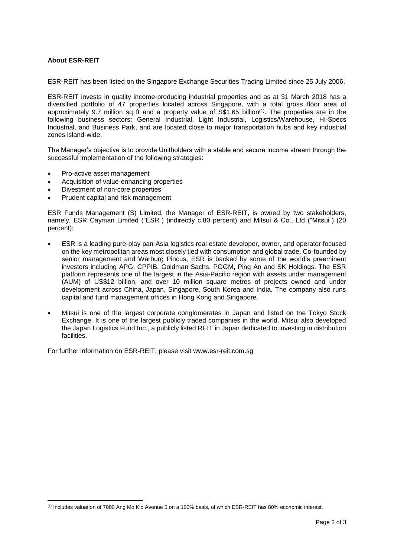### **About ESR-REIT**

**.** 

ESR-REIT has been listed on the Singapore Exchange Securities Trading Limited since 25 July 2006.

ESR-REIT invests in quality income-producing industrial properties and as at 31 March 2018 has a diversified portfolio of 47 properties located across Singapore, with a total gross floor area of approximately 9.7 million sq ft and a property value of S\$1.65 billion<sup>(1)</sup>. The properties are in the following business sectors: General Industrial, Light Industrial, Logistics/Warehouse, Hi-Specs Industrial, and Business Park, and are located close to major transportation hubs and key industrial zones island-wide.

The Manager's objective is to provide Unitholders with a stable and secure income stream through the successful implementation of the following strategies:

- Pro-active asset management
- Acquisition of value-enhancing properties
- Divestment of non-core properties
- Prudent capital and risk management

ESR Funds Management (S) Limited, the Manager of ESR-REIT, is owned by two stakeholders, namely, ESR Cayman Limited ("ESR") (indirectly c.80 percent) and Mitsui & Co., Ltd ("Mitsui") (20 percent):

- ESR is a leading pure-play pan-Asia logistics real estate developer, owner, and operator focused on the key metropolitan areas most closely tied with consumption and global trade. Co-founded by senior management and Warburg Pincus, ESR is backed by some of the world's preeminent investors including APG, CPPIB, Goldman Sachs, PGGM, Ping An and SK Holdings. The ESR platform represents one of the largest in the Asia-Pacific region with assets under management (AUM) of US\$12 billion, and over 10 million square metres of projects owned and under development across China, Japan, Singapore, South Korea and India. The company also runs capital and fund management offices in Hong Kong and Singapore.
- Mitsui is one of the largest corporate conglomerates in Japan and listed on the Tokyo Stock Exchange. It is one of the largest publicly traded companies in the world. Mitsui also developed the Japan Logistics Fund Inc., a publicly listed REIT in Japan dedicated to investing in distribution facilities.

For further information on ESR-REIT, please visit www.esr-reit.com.sg

<sup>(1)</sup> Includes valuation of 7000 Ang Mo Kio Avenue 5 on a 100% basis, of which ESR-REIT has 80% economic interest.